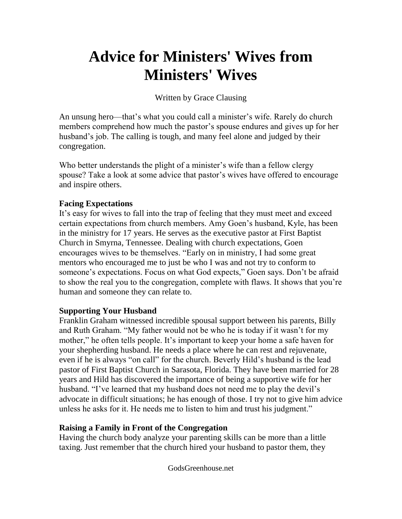# **Advice for Ministers' Wives from Ministers' Wives**

Written by Grace Clausing

An unsung hero—that's what you could call a minister's wife. Rarely do church members comprehend how much the pastor's spouse endures and gives up for her husband's job. The calling is tough, and many feel alone and judged by their congregation.

Who better understands the plight of a minister's wife than a fellow clergy spouse? Take a look at some advice that pastor's wives have offered to encourage and inspire others.

#### **Facing Expectations**

It's easy for wives to fall into the trap of feeling that they must meet and exceed certain expectations from church members. Amy Goen's husband, Kyle, has been in the ministry for 17 years. He serves as the executive pastor at First Baptist Church in Smyrna, Tennessee. Dealing with church expectations, Goen encourages wives to be themselves. "Early on in ministry, I had some great mentors who encouraged me to just be who I was and not try to conform to someone's expectations. Focus on what God expects," Goen says. Don't be afraid to show the real you to the congregation, complete with flaws. It shows that you're human and someone they can relate to.

## **Supporting Your Husband**

Franklin Graham witnessed incredible spousal support between his parents, Billy and Ruth Graham. "My father would not be who he is today if it wasn't for my mother," he often tells people. It's important to keep your home a safe haven for your shepherding husband. He needs a place where he can rest and rejuvenate, even if he is always "on call" for the church. Beverly Hild's husband is the lead pastor of First Baptist Church in Sarasota, Florida. They have been married for 28 years and Hild has discovered the importance of being a supportive wife for her husband. "I've learned that my husband does not need me to play the devil's advocate in difficult situations; he has enough of those. I try not to give him advice unless he asks for it. He needs me to listen to him and trust his judgment."

## **Raising a Family in Front of the Congregation**

Having the church body analyze your parenting skills can be more than a little taxing. Just remember that the church hired your husband to pastor them, they